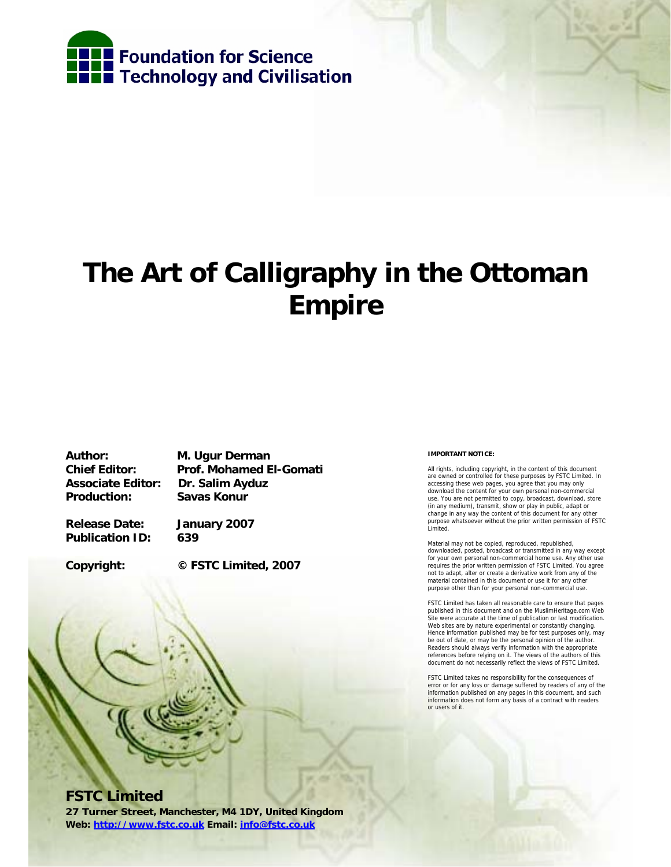

# **The Art of Calligraphy in the Ottoman Empire**

**Author: M. Ugur Derman Associate Editor: Dr. Salim Ayduz Production: Savas Konur** 

**Chief Editor: Prof. Mohamed El-Gomati** 

**Release Date: January 2007 Publication ID: 639** 

**Copyright: © FSTC Limited, 2007** 



## **FSTC Limited**

**27 Turner Street, Manchester, M4 1DY, United Kingdom Web: http://www.fstc.co.uk Email: info@fstc.co.uk**

#### **IMPORTANT NOTICE:**

All rights, including copyright, in the content of this document are owned or controlled for these purposes by FSTC Limited. In accessing these web pages, you agree that you may only download the content for your own personal non-commercial use. You are not permitted to copy, broadcast, download, store (in any medium), transmit, show or play in public, adapt or change in any way the content of this document for any other purpose whatsoever without the prior written permission of FSTC Limited.

Material may not be copied, reproduced, republished, downloaded, posted, broadcast or transmitted in any way except for your own personal non-commercial home use. Any other use requires the prior written permission of FSTC Limited. You agree not to adapt, alter or create a derivative work from any of the material contained in this document or use it for any other purpose other than for your personal non-commercial use.

FSTC Limited has taken all reasonable care to ensure that pages published in this document and on the MuslimHeritage.com Web Site were accurate at the time of publication or last modification. Web sites are by nature experimental or constantly changing. Hence information published may be for test purposes only, may be out of date, or may be the personal opinion of the author. Readers should always verify information with the appropriate references before relying on it. The views of the authors of this document do not necessarily reflect the views of FSTC Limited.

FSTC Limited takes no responsibility for the consequences of error or for any loss or damage suffered by readers of any of the information published on any pages in this document, and such information does not form any basis of a contract with readers or users of it.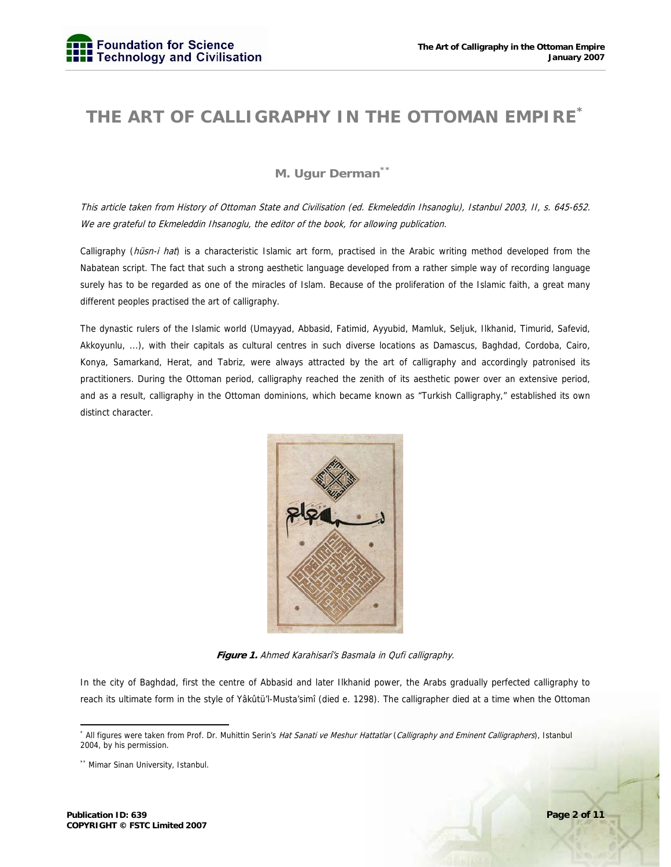# **THE ART OF CALLIGRAPHY IN THE OTTOMAN EMPIRE\***

### **M. Ugur Derman\*\***

This article taken from History of Ottoman State and Civilisation (ed. Ekmeleddin Ihsanoglu), Istanbul 2003, II, s. 645-652. We are grateful to Ekmeleddin Ihsanoglu, the editor of the book, for allowing publication.

Calligraphy (hüsn-i hat) is a characteristic Islamic art form, practised in the Arabic writing method developed from the Nabatean script. The fact that such a strong aesthetic language developed from a rather simple way of recording language surely has to be regarded as one of the miracles of Islam. Because of the proliferation of the Islamic faith, a great many different peoples practised the art of calligraphy.

The dynastic rulers of the Islamic world (Umayyad, Abbasid, Fatimid, Ayyubid, Mamluk, Seljuk, Ilkhanid, Timurid, Safevid, Akkoyunlu, ...), with their capitals as cultural centres in such diverse locations as Damascus, Baghdad, Cordoba, Cairo, Konya, Samarkand, Herat, and Tabriz, were always attracted by the art of calligraphy and accordingly patronised its practitioners. During the Ottoman period, calligraphy reached the zenith of its aesthetic power over an extensive period, and as a result, calligraphy in the Ottoman dominions, which became known as "Turkish Calligraphy," established its own distinct character.



**Figure 1.** Ahmed Karahisarî's Basmala in Qufi calligraphy.

In the city of Baghdad, first the centre of Abbasid and later Ilkhanid power, the Arabs gradually perfected calligraphy to reach its ultimate form in the style of Yâkûtü'l-Musta'simî (died e. 1298). The calligrapher died at a time when the Ottoman

-

<sup>\*</sup> All figures were taken from Prof. Dr. Muhittin Serin's Hat Sanati ve Meshur Hattatlar (Calligraphy and Eminent Calligraphers), Istanbul 2004, by his permission.

<sup>\*\*</sup> Mimar Sinan University, Istanbul.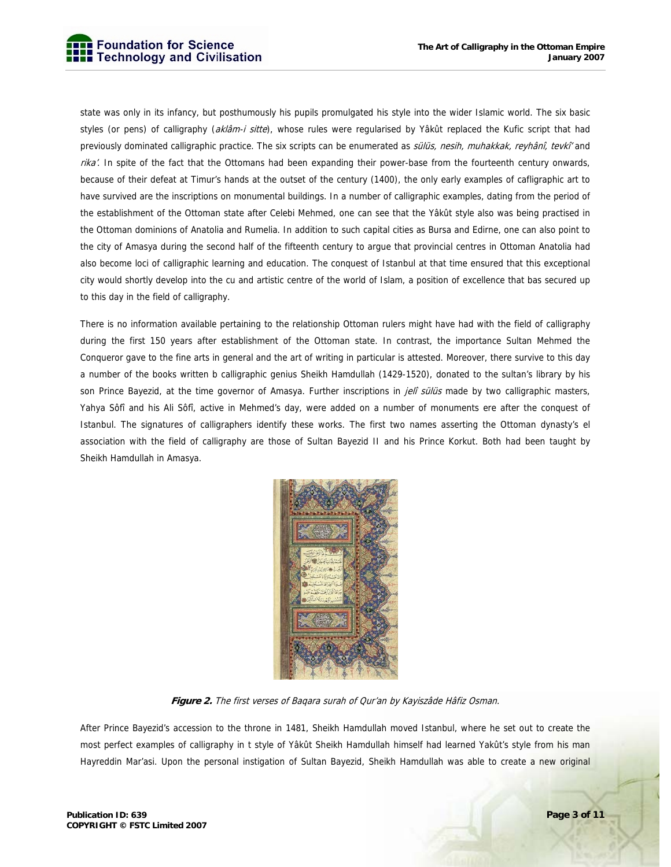state was only in its infancy, but posthumously his pupils promulgated his style into the wider Islamic world. The six basic styles (or pens) of calligraphy (aklâm-i sitte), whose rules were regularised by Yâkût replaced the Kufic script that had previously dominated calligraphic practice. The six scripts can be enumerated as *sülüs, nesih, muhakkak, reyhânî, tevkî*' and rika'. In spite of the fact that the Ottomans had been expanding their power-base from the fourteenth century onwards, because of their defeat at Timur's hands at the outset of the century (1400), the only early examples of cafligraphic art to have survived are the inscriptions on monumental buildings. In a number of calligraphic examples, dating from the period of the establishment of the Ottoman state after Celebi Mehmed, one can see that the Yâkût style also was being practised in the Ottoman dominions of Anatolia and Rumelia. In addition to such capital cities as Bursa and Edirne, one can also point to the city of Amasya during the second half of the fifteenth century to argue that provincial centres in Ottoman Anatolia had also become loci of calligraphic learning and education. The conquest of Istanbul at that time ensured that this exceptional city would shortly develop into the cu and artistic centre of the world of Islam, a position of excellence that bas secured up to this day in the field of calligraphy.

There is no information available pertaining to the relationship Ottoman rulers might have had with the field of calligraphy during the first 150 years after establishment of the Ottoman state. In contrast, the importance Sultan Mehmed the Conqueror gave to the fine arts in general and the art of writing in particular is attested. Moreover, there survive to this day a number of the books written b calligraphic genius Sheikh Hamdullah (1429-1520), donated to the sultan's library by his son Prince Bayezid, at the time governor of Amasya. Further inscriptions in *jelî sülüs* made by two calligraphic masters, Yahya Sôfî and his Ali Sôfî, active in Mehmed's day, were added on a number of monuments ere after the conquest of Istanbul. The signatures of calligraphers identify these works. The first two names asserting the Ottoman dynasty's el association with the field of calligraphy are those of Sultan Bayezid II and his Prince Korkut. Both had been taught by Sheikh Hamdullah in Amasya.



**Figure 2.** The first verses of Baqara surah of Qur'an by Kayiszâde Hâfiz Osman.

After Prince Bayezid's accession to the throne in 1481, Sheikh Hamdullah moved Istanbul, where he set out to create the most perfect examples of calligraphy in t style of Yâkût Sheikh Hamdullah himself had learned Yakût's style from his man Hayreddin Mar'asi. Upon the personal instigation of Sultan Bayezid, Sheikh Hamdullah was able to create a new original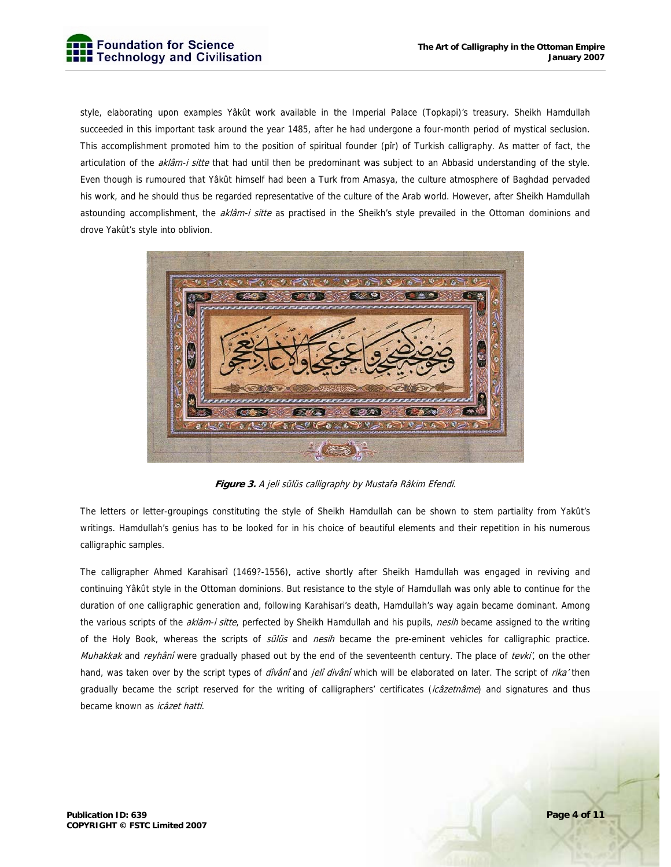style, elaborating upon examples Yâkût work available in the Imperial Palace (Topkapi)'s treasury. Sheikh Hamdullah succeeded in this important task around the year 1485, after he had undergone a four-month period of mystical seclusion. This accomplishment promoted him to the position of spiritual founder (pîr) of Turkish calligraphy. As matter of fact, the articulation of the *aklâm-i sitte* that had until then be predominant was subject to an Abbasid understanding of the style. Even though is rumoured that Yâkût himself had been a Turk from Amasya, the culture atmosphere of Baghdad pervaded his work, and he should thus be regarded representative of the culture of the Arab world. However, after Sheikh Hamdullah astounding accomplishment, the *aklâm-i sitte* as practised in the Sheikh's style prevailed in the Ottoman dominions and drove Yakût's style into oblivion.



**Figure 3.** A jeli sülüs calligraphy by Mustafa Râkim Efendi.

The letters or letter-groupings constituting the style of Sheikh Hamdullah can be shown to stem partiality from Yakût's writings. Hamdullah's genius has to be looked for in his choice of beautiful elements and their repetition in his numerous calligraphic samples.

The calligrapher Ahmed Karahisarî (1469?-1556), active shortly after Sheikh Hamdullah was engaged in reviving and continuing Yâkût style in the Ottoman dominions. But resistance to the style of Hamdullah was only able to continue for the duration of one calligraphic generation and, following Karahisari's death, Hamdullah's way again became dominant. Among the various scripts of the aklam-i sitte, perfected by Sheikh Hamdullah and his pupils, nesih became assigned to the writing of the Holy Book, whereas the scripts of *sülüs* and *nesih* became the pre-eminent vehicles for calligraphic practice. Muhakkak and reyhânî were gradually phased out by the end of the seventeenth century. The place of tevki', on the other hand, was taken over by the script types of *divânî* and jelî divânî which will be elaborated on later. The script of rika' then gradually became the script reserved for the writing of calligraphers' certificates (icâzetnâme) and signatures and thus became known as icâzet hatti.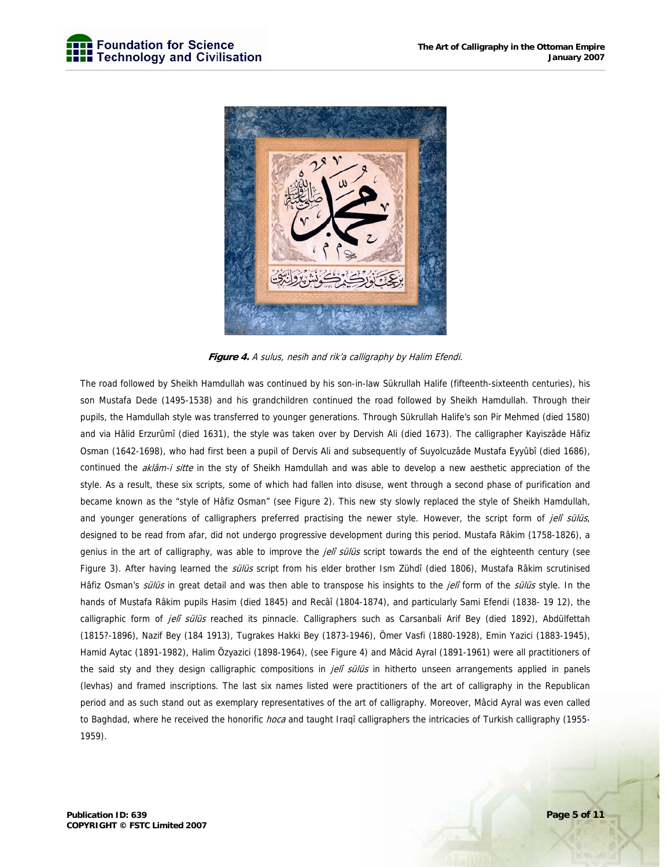

**Figure 4.** A sulus, nesih and rik'a calligraphy by Halim Efendi.

The road followed by Sheikh Hamdullah was continued by his son-in-law Sükrullah Halife (fifteenth-sixteenth centuries), his son Mustafa Dede (1495-1538) and his grandchildren continued the road followed by Sheikh Hamdullah. Through their pupils, the Hamdullah style was transferred to younger generations. Through Sükrullah Halife's son Pir Mehmed (died 1580) and via Hâlid Erzurûmî (died 1631), the style was taken over by Dervish Ali (died 1673). The calligrapher Kayiszâde Hâfiz Osman (1642-1698), who had first been a pupil of Dervis Ali and subsequently of Suyolcuzâde Mustafa Eyyûbî (died 1686), continued the *aklâm-i sitte* in the sty of Sheikh Hamdullah and was able to develop a new aesthetic appreciation of the style. As a result, these six scripts, some of which had fallen into disuse, went through a second phase of purification and became known as the "style of Hâfiz Osman" (see Figure 2). This new sty slowly replaced the style of Sheikh Hamdullah, and younger generations of calligraphers preferred practising the newer style. However, the script form of jelî sülüs, designed to be read from afar, did not undergo progressive development during this period. Mustafa Râkim (1758-1826), a genius in the art of calligraphy, was able to improve the *jeli sülüs* script towards the end of the eighteenth century (see Figure 3). After having learned the *sülüs* script from his elder brother Ism Zühdî (died 1806), Mustafa Râkim scrutinised Hâfiz Osman's *sülüs* in great detail and was then able to transpose his insights to the *jelî* form of the *sülüs* style. In the hands of Mustafa Râkim pupils Hasim (died 1845) and Recâî (1804-1874), and particularly Sami Efendi (1838- 19 12), the calligraphic form of *jelî sülüs* reached its pinnacle. Calligraphers such as Carsanbali Arif Bey (died 1892), Abdülfettah (1815?-1896), Nazif Bey (184 1913), Tugrakes Hakki Bey (1873-1946), Ömer Vasfi (1880-1928), Emin Yazici (1883-1945), Hamid Aytac (1891-1982), Halim Özyazici (1898-1964), (see Figure 4) and Mâcid Ayral (1891-1961) were all practitioners of the said sty and they design calligraphic compositions in *jelî sülüs* in hitherto unseen arrangements applied in panels (levhas) and framed inscriptions. The last six names listed were practitioners of the art of calligraphy in the Republican period and as such stand out as exemplary representatives of the art of calligraphy. Moreover, Mâcid Ayral was even called to Baghdad, where he received the honorific *hoca* and taught Iraqî calligraphers the intricacies of Turkish calligraphy (1955-1959).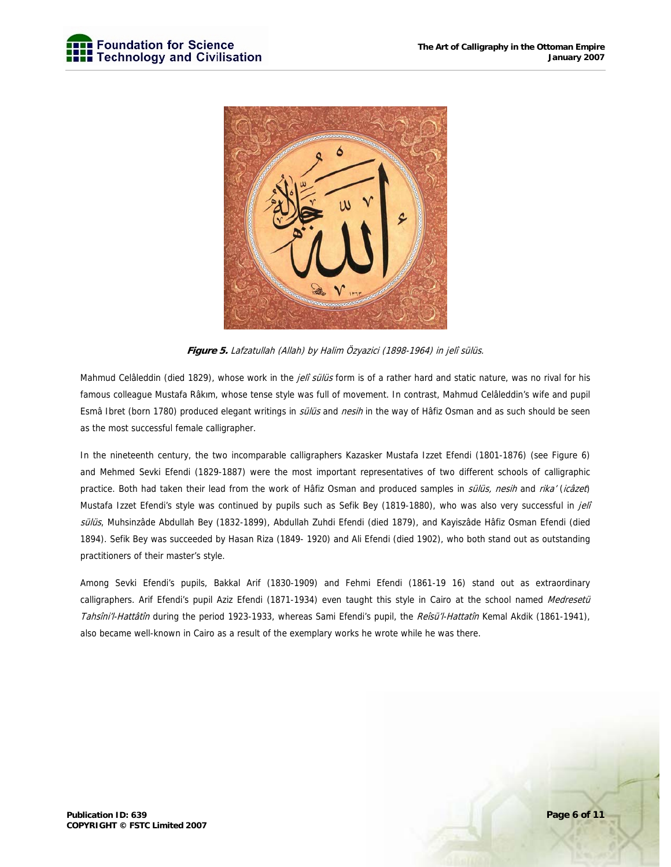



**Figure 5.** Lafzatullah (Allah) by Halim Özyazici (1898-1964) in jelî sülüs.

Mahmud Celâleddin (died 1829), whose work in the jelî sülüs form is of a rather hard and static nature, was no rival for his famous colleague Mustafa Râkım, whose tense style was full of movement. In contrast, Mahmud Celâleddin's wife and pupil Esmâ Ibret (born 1780) produced elegant writings in sülüs and nesih in the way of Hâfiz Osman and as such should be seen as the most successful female calligrapher.

In the nineteenth century, the two incomparable calligraphers Kazasker Mustafa Izzet Efendi (1801-1876) (see Figure 6) and Mehmed Sevki Efendi (1829-1887) were the most important representatives of two different schools of calligraphic practice. Both had taken their lead from the work of Hâfiz Osman and produced samples in sülüs, nesih and rika' (icâzet) Mustafa Izzet Efendi's style was continued by pupils such as Sefik Bey (1819-1880), who was also very successful in jelî sülüs, Muhsinzâde Abdullah Bey (1832-1899), Abdullah Zuhdi Efendi (died 1879), and Kayiszâde Hâfiz Osman Efendi (died 1894). Sefik Bey was succeeded by Hasan Riza (1849- 1920) and Ali Efendi (died 1902), who both stand out as outstanding practitioners of their master's style.

Among Sevki Efendi's pupils, Bakkal Arif (1830-1909) and Fehmi Efendi (1861-19 16) stand out as extraordinary calligraphers. Arif Efendi's pupil Aziz Efendi (1871-1934) even taught this style in Cairo at the school named Medresetü Tahsîni'l-Hattâtîn during the period 1923-1933, whereas Sami Efendi's pupil, the Reîsü'l-Hattatîn Kemal Akdik (1861-1941), also became well-known in Cairo as a result of the exemplary works he wrote while he was there.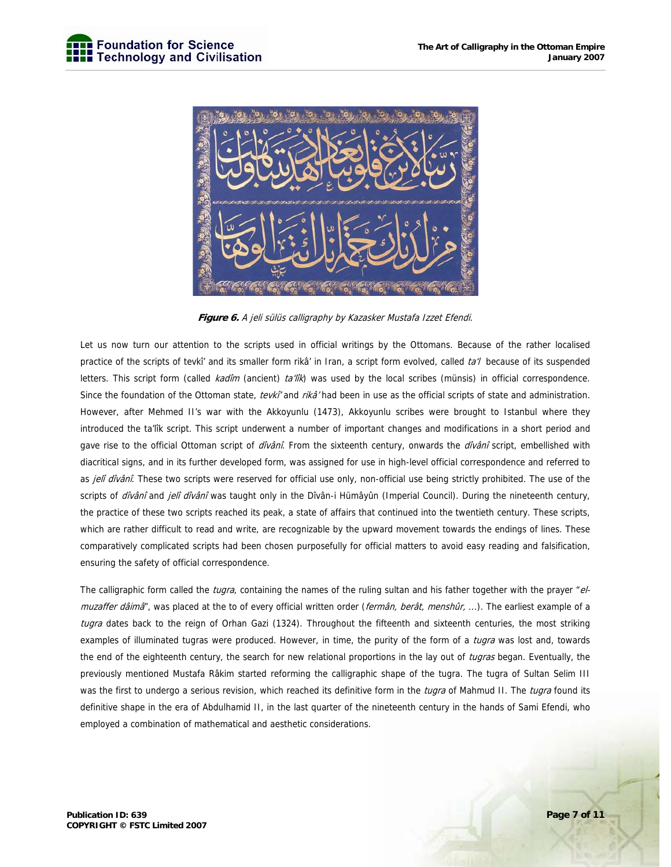

**Figure 6.** A jeli sülüs calligraphy by Kazasker Mustafa Izzet Efendi.

Let us now turn our attention to the scripts used in official writings by the Ottomans. Because of the rather localised practice of the scripts of tevkî' and its smaller form rikâ' in Iran, a script form evolved, called ta'l because of its suspended letters. This script form (called kadîm (ancient) ta'lik) was used by the local scribes (münsis) in official correspondence. Since the foundation of the Ottoman state, tevki' and rikâ' had been in use as the official scripts of state and administration. However, after Mehmed II's war with the Akkoyunlu (1473), Akkoyunlu scribes were brought to Istanbul where they introduced the ta'lîk script. This script underwent a number of important changes and modifications in a short period and gave rise to the official Ottoman script of *dîvânî*. From the sixteenth century, onwards the *dîvânî* script, embellished with diacritical signs, and in its further developed form, was assigned for use in high-level official correspondence and referred to as jelî dîvânî. These two scripts were reserved for official use only, non-official use being strictly prohibited. The use of the scripts of *dîvânî* and *jelî dîvânî* was taught only in the Dîvân-i Hümâyûn (Imperial Council). During the nineteenth century, the practice of these two scripts reached its peak, a state of affairs that continued into the twentieth century. These scripts, which are rather difficult to read and write, are recognizable by the upward movement towards the endings of lines. These comparatively complicated scripts had been chosen purposefully for official matters to avoid easy reading and falsification, ensuring the safety of official correspondence.

The calligraphic form called the tugra, containing the names of the ruling sultan and his father together with the prayer "elmuzaffer dâimâ", was placed at the to of every official written order (fermân, berât, menshûr, ...). The earliest example of a tugra dates back to the reign of Orhan Gazi (1324). Throughout the fifteenth and sixteenth centuries, the most striking examples of illuminated tugras were produced. However, in time, the purity of the form of a *tugra* was lost and, towards the end of the eighteenth century, the search for new relational proportions in the lay out of tugras began. Eventually, the previously mentioned Mustafa Râkim started reforming the calligraphic shape of the tugra. The tugra of Sultan Selim III was the first to undergo a serious revision, which reached its definitive form in the tugra of Mahmud II. The tugra found its definitive shape in the era of Abdulhamid II, in the last quarter of the nineteenth century in the hands of Sami Efendi, who employed a combination of mathematical and aesthetic considerations.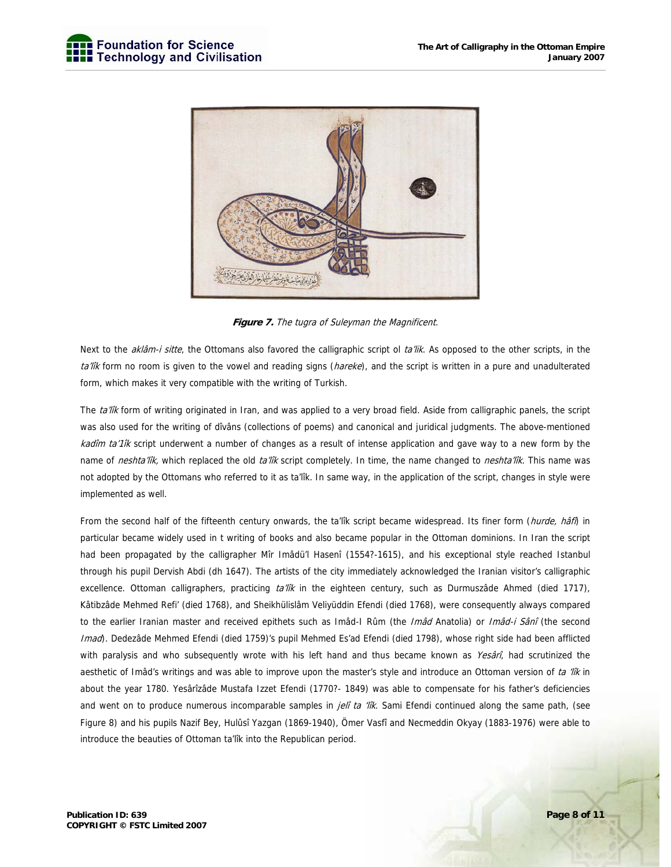



**Figure 7.** The tugra of Suleyman the Magnificent.

Next to the *aklâm-i sitte*, the Ottomans also favored the calligraphic script ol ta'lik. As opposed to the other scripts, in the ta'lik form no room is given to the vowel and reading signs (hareke), and the script is written in a pure and unadulterated form, which makes it very compatible with the writing of Turkish.

The ta'lik form of writing originated in Iran, and was applied to a very broad field. Aside from calligraphic panels, the script was also used for the writing of dîvâns (collections of poems) and canonical and juridical judgments. The above-mentioned kadîm ta'1îk script underwent a number of changes as a result of intense application and gave way to a new form by the name of neshta'lik, which replaced the old ta'lik script completely. In time, the name changed to neshta'lik. This name was not adopted by the Ottomans who referred to it as ta'lîk. In same way, in the application of the script, changes in style were implemented as well.

From the second half of the fifteenth century onwards, the ta'lîk script became widespread. Its finer form (hurde, hâfî) in particular became widely used in t writing of books and also became popular in the Ottoman dominions. In Iran the script had been propagated by the calligrapher Mîr Imâdü'l Hasenî (1554?-1615), and his exceptional style reached Istanbul through his pupil Dervish Abdi (dh 1647). The artists of the city immediately acknowledged the Iranian visitor's calligraphic excellence. Ottoman calligraphers, practicing ta'lik in the eighteen century, such as Durmuszâde Ahmed (died 1717), Kâtibzâde Mehmed Refi' (died 1768), and Sheikhülislâm Veliyüddin Efendi (died 1768), were consequently always compared to the earlier Iranian master and received epithets such as Imâd-I Rûm (the Imâd Anatolia) or Imâd-i Sânî (the second Imad). Dedezâde Mehmed Efendi (died 1759)'s pupil Mehmed Es'ad Efendi (died 1798), whose right side had been afflicted with paralysis and who subsequently wrote with his left hand and thus became known as Yesârî, had scrutinized the aesthetic of Imâd's writings and was able to improve upon the master's style and introduce an Ottoman version of ta 'lîk in about the year 1780. Yesârîzâde Mustafa Izzet Efendi (1770?- 1849) was able to compensate for his father's deficiencies and went on to produce numerous incomparable samples in jelî ta 'lîk. Sami Efendi continued along the same path, (see Figure 8) and his pupils Nazif Bey, Hulûsî Yazgan (1869-1940), Ömer Vasfî and Necmeddin Okyay (1883-1976) were able to introduce the beauties of Ottoman ta'lîk into the Republican period.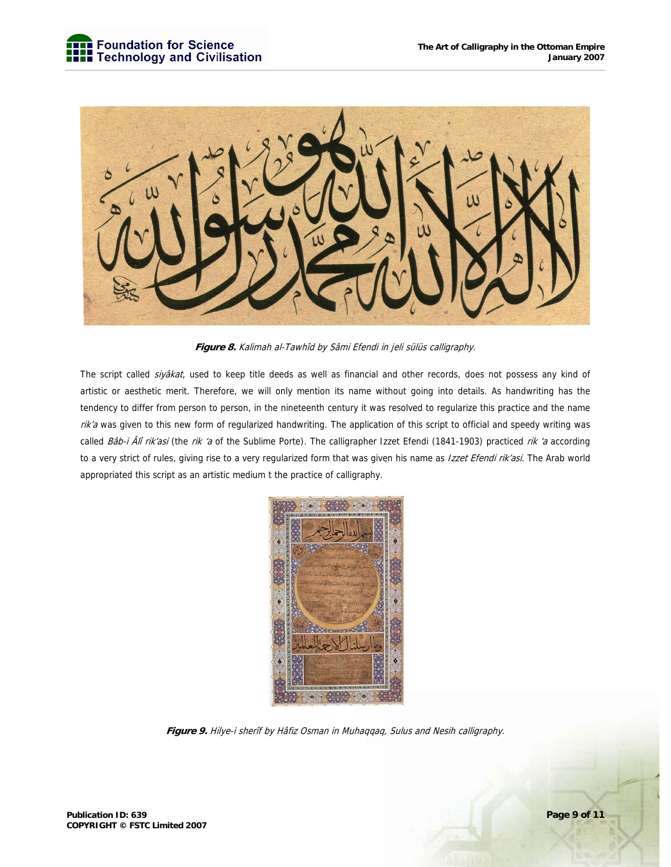



**Figure 8.** Kalimah al-Tawhîd by Sâmi Efendi in jeli sülüs calligraphy.

The script called siyakat, used to keep title deeds as well as financial and other records, does not possess any kind of artistic or aesthetic merit. Therefore, we will only mention its name without going into details. As handwriting has the tendency to differ from person to person, in the nineteenth century it was resolved to regularize this practice and the name rik'a was given to this new form of regularized handwriting. The application of this script to official and speedy writing was called Bâb-i Âlî rik'asi (the rik 'a of the Sublime Porte). The calligrapher Izzet Efendi (1841-1903) practiced rik 'a according to a very strict of rules, giving rise to a very regularized form that was given his name as Izzet Efendi rik'asi. The Arab world appropriated this script as an artistic medium t the practice of calligraphy.



**Figure 9.** Hilye-i sherîf by Hâfiz Osman in Muhaqqaq, Sulus and Nesih calligraphy.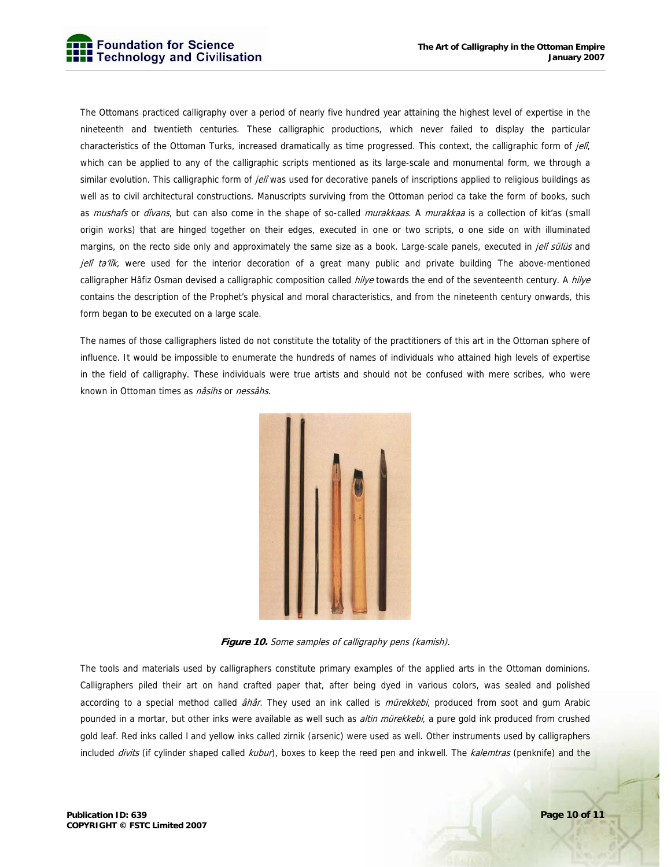The Ottomans practiced calligraphy over a period of nearly five hundred year attaining the highest level of expertise in the nineteenth and twentieth centuries. These calligraphic productions, which never failed to display the particular characteristics of the Ottoman Turks, increased dramatically as time progressed. This context, the calligraphic form of jelî, which can be applied to any of the calligraphic scripts mentioned as its large-scale and monumental form, we through a similar evolution. This calligraphic form of jeli was used for decorative panels of inscriptions applied to religious buildings as well as to civil architectural constructions. Manuscripts surviving from the Ottoman period ca take the form of books, such as mushafs or divans, but can also come in the shape of so-called murakkaas. A murakkaa is a collection of kit'as (small origin works) that are hinged together on their edges, executed in one or two scripts, o one side on with illuminated margins, on the recto side only and approximately the same size as a book. Large-scale panels, executed in *jelî sülüs* and jelî ta'lîk, were used for the interior decoration of a great many public and private building The above-mentioned calligrapher Hâfiz Osman devised a calligraphic composition called *hilye* towards the end of the seventeenth century. A *hilye* contains the description of the Prophet's physical and moral characteristics, and from the nineteenth century onwards, this form began to be executed on a large scale.

The names of those calligraphers listed do not constitute the totality of the practitioners of this art in the Ottoman sphere of influence. It would be impossible to enumerate the hundreds of names of individuals who attained high levels of expertise in the field of calligraphy. These individuals were true artists and should not be confused with mere scribes, who were known in Ottoman times as nâsihs or nessâhs.



**Figure 10.** Some samples of calligraphy pens (kamish).

The tools and materials used by calligraphers constitute primary examples of the applied arts in the Ottoman dominions. Calligraphers piled their art on hand crafted paper that, after being dyed in various colors, was sealed and polished according to a special method called *âhâr*. They used an ink called is *mürekkebi*, produced from soot and gum Arabic pounded in a mortar, but other inks were available as well such as *altin mürekkebi*, a pure gold ink produced from crushed gold leaf. Red inks called l and yellow inks called zirnik (arsenic) were used as well. Other instruments used by calligraphers included divits (if cylinder shaped called kubur), boxes to keep the reed pen and inkwell. The kalemtras (penknife) and the